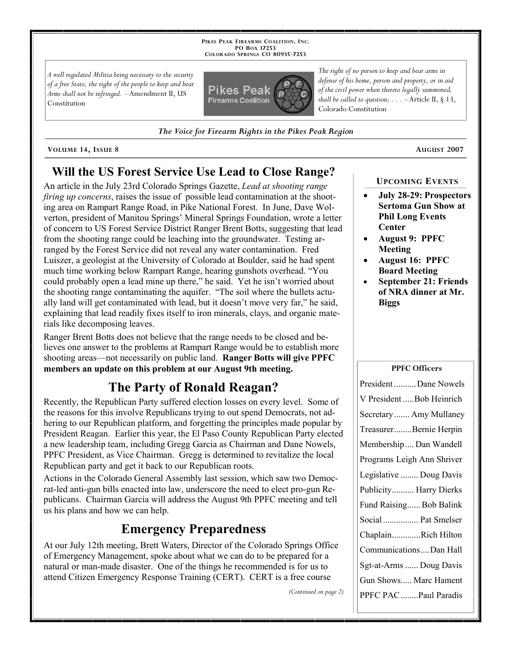**PIKES PEAK FIREARMS COALITION, INC. PO BOX 17253 COLORADO SPRINGS CO 80935 -7253**

*A well regulated Militia being necessary to the security of a free State, the right of the people to keep and bear Arms shall not be infringed.* --Amendment II, US Constitution



*The Voice for Firearm Rights in the Pikes Peak Region*

**VOLUME 14, ISSUE 8 AUGUST 2007**

# **Will the US Forest Service Use Lead to Close Range?**

An article in the July 23rd Colorado Springs Gazette, *Lead at shooting range firing up concerns*, raises the issue of possible lead contamination at the shooting area on Rampart Range Road, in Pike National Forest. In June, Dave Wolverton, president of Manitou Springs' Mineral Springs Foundation, wrote a letter of concern to US Forest Service District Ranger Brent Botts, suggesting that lead from the shooting range could be leaching into the groundwater. Testing arranged by the Forest Service did not reveal any water contamination. Fred Luiszer, a geologist at the University of Colorado at Boulder, said he had spent much time working below Rampart Range, hearing gunshots overhead. "You could probably open a lead mine up there," he said. Yet he isn't worried about the shooting range contaminating the aquifer. "The soil where the bullets actually land will get contaminated with lead, but it doesn't move very far," he said, explaining that lead readily fixes itself to iron minerals, clays, and organic materials like decomposing leaves.

Ranger Brent Botts does not believe that the range needs to be closed and believes one answer to the problems at Rampart Range would be to establish more shooting areas—not necessarily on public land. **Ranger Botts will give PPFC members an update on this problem at our August 9th meeting.**

# **The Party of Ronald Reagan?**

Recently, the Republican Party suffered election losses on every level. Some of the reasons for this involve Republicans trying to out spend Democrats, not adhering to our Republican platform, and forgetting the principles made popular by President Reagan. Earlier this year, the El Paso County Republican Party elected a new leadership team, including Gregg Garcia as Chairman and Dane Nowels, PPFC President, as Vice Chairman. Gregg is determined to revitalize the local Republican party and get it back to our Republican roots.

Actions in the Colorado General Assembly last session, which saw two Democrat-led anti-gun bills enacted into law, underscore the need to elect pro-gun Republicans. Chairman Garcia will address the August 9th PPFC meeting and tell us his plans and how we can help.

# **Emergency Preparedness**

At our July 12th meeting, Brett Waters, Director of the Colorado Springs Office of Emergency Management, spoke about what we can do to be prepared for a natural or man-made disaster. One of the things he recommended is for us to attend Citizen Emergency Response Training (CERT). CERT is a free course

*(Continued on page 2)*

# **UPCOMING EVENTS**

- **July 28-29: Prospectors Sertoma Gun Show at Phil Long Events Center**
- **August 9: PPFC Meeting**
- **August 16: PPFC Board Meeting**
- **September 21: Friends of NRA dinner at Mr. Biggs**

### **PPFC Officers**

| President Dane Nowels      |
|----------------------------|
| V President  Bob Heinrich  |
| Secretary  Amy Mullaney    |
| TreasurerBernie Herpin     |
| Membership Dan Wandell     |
| Programs Leigh Ann Shriver |
| Legislative  Doug Davis    |
| Publicity Harry Dierks     |
| Fund Raising Bob Balink    |
| Social  Pat Smelser        |
| ChaplainRich Hilton        |
| CommunicationsDan Hall     |
| Sgt-at-Arms  Doug Davis    |
| Gun Shows Marc Hament      |
| PPFC PAC Paul Paradis      |

*of the civil power when thereto legally summoned, shall be called to question; . . .* --Article II, § 13, Colorado Constitution

*The right of no person to keep and bear arms in defense of his home, person and property, or in aid*